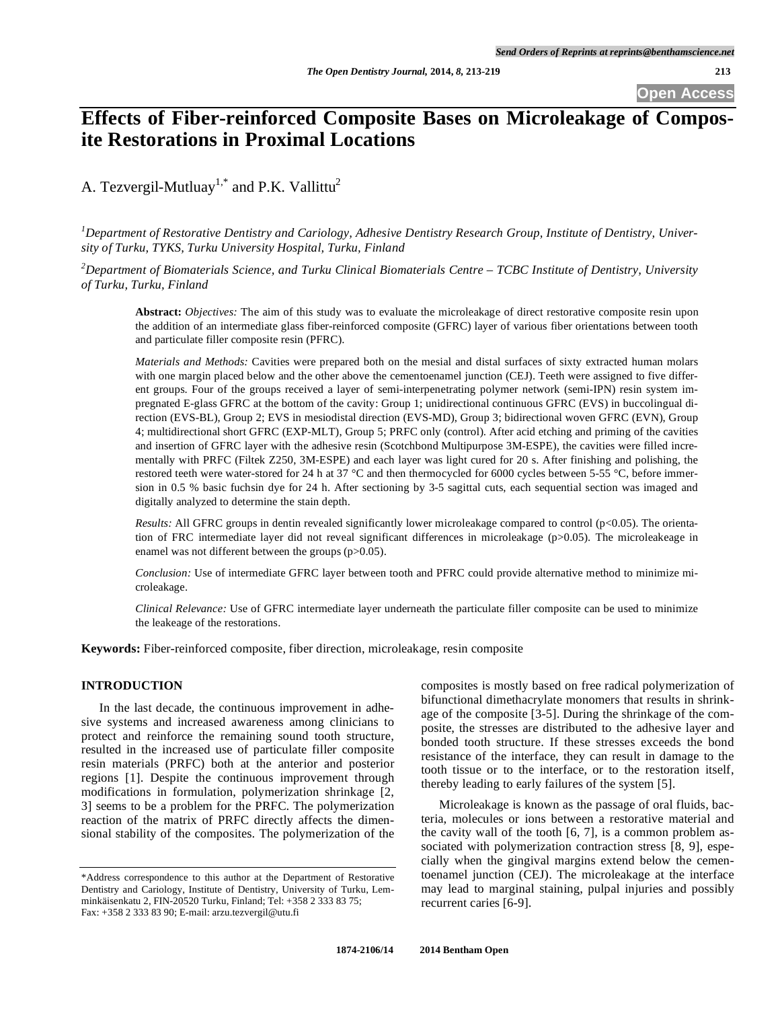# **Effects of Fiber-reinforced Composite Bases on Microleakage of Composite Restorations in Proximal Locations**

A. Tezvergil-Mutluay<sup>1,\*</sup> and P.K. Vallittu<sup>2</sup>

*1 Department of Restorative Dentistry and Cariology, Adhesive Dentistry Research Group, Institute of Dentistry, University of Turku, TYKS, Turku University Hospital, Turku, Finland* 

*2 Department of Biomaterials Science, and Turku Clinical Biomaterials Centre – TCBC Institute of Dentistry, University of Turku, Turku, Finland* 

**Abstract:** *Objectives:* The aim of this study was to evaluate the microleakage of direct restorative composite resin upon the addition of an intermediate glass fiber-reinforced composite (GFRC) layer of various fiber orientations between tooth and particulate filler composite resin (PFRC).

*Materials and Methods:* Cavities were prepared both on the mesial and distal surfaces of sixty extracted human molars with one margin placed below and the other above the cementoenamel junction (CEJ). Teeth were assigned to five different groups. Four of the groups received a layer of semi-interpenetrating polymer network (semi-IPN) resin system impregnated E-glass GFRC at the bottom of the cavity: Group 1; unidirectional continuous GFRC (EVS) in buccolingual direction (EVS-BL), Group 2; EVS in mesiodistal direction (EVS-MD), Group 3; bidirectional woven GFRC (EVN), Group 4; multidirectional short GFRC (EXP-MLT), Group 5; PRFC only (control). After acid etching and priming of the cavities and insertion of GFRC layer with the adhesive resin (Scotchbond Multipurpose 3M-ESPE), the cavities were filled incrementally with PRFC (Filtek Z250, 3M-ESPE) and each layer was light cured for 20 s. After finishing and polishing, the restored teeth were water-stored for 24 h at 37 °C and then thermocycled for 6000 cycles between 5-55 °C, before immersion in 0.5 % basic fuchsin dye for 24 h. After sectioning by 3-5 sagittal cuts, each sequential section was imaged and digitally analyzed to determine the stain depth.

*Results:* All GFRC groups in dentin revealed significantly lower microleakage compared to control (p<0.05). The orientation of FRC intermediate layer did not reveal significant differences in microleakage (p>0.05). The microleakeage in enamel was not different between the groups (p>0.05).

*Conclusion:* Use of intermediate GFRC layer between tooth and PFRC could provide alternative method to minimize microleakage.

*Clinical Relevance:* Use of GFRC intermediate layer underneath the particulate filler composite can be used to minimize the leakeage of the restorations.

**Keywords:** Fiber-reinforced composite, fiber direction, microleakage, resin composite

# **INTRODUCTION**

In the last decade, the continuous improvement in adhesive systems and increased awareness among clinicians to protect and reinforce the remaining sound tooth structure, resulted in the increased use of particulate filler composite resin materials (PRFC) both at the anterior and posterior regions [1]. Despite the continuous improvement through modifications in formulation, polymerization shrinkage [2, 3] seems to be a problem for the PRFC. The polymerization reaction of the matrix of PRFC directly affects the dimensional stability of the composites. The polymerization of the composites is mostly based on free radical polymerization of bifunctional dimethacrylate monomers that results in shrinkage of the composite [3-5]. During the shrinkage of the composite, the stresses are distributed to the adhesive layer and bonded tooth structure. If these stresses exceeds the bond resistance of the interface, they can result in damage to the tooth tissue or to the interface, or to the restoration itself, thereby leading to early failures of the system [5].

Microleakage is known as the passage of oral fluids, bacteria, molecules or ions between a restorative material and the cavity wall of the tooth [6, 7], is a common problem associated with polymerization contraction stress [8, 9], especially when the gingival margins extend below the cementoenamel junction (CEJ). The microleakage at the interface may lead to marginal staining, pulpal injuries and possibly recurrent caries [6-9].

<sup>\*</sup>Address correspondence to this author at the Department of Restorative Dentistry and Cariology, Institute of Dentistry, University of Turku, Lemminkäisenkatu 2, FIN-20520 Turku, Finland; Tel: +358 2 333 83 75; Fax: +358 2 333 83 90; E-mail: arzu.tezvergil@utu.fi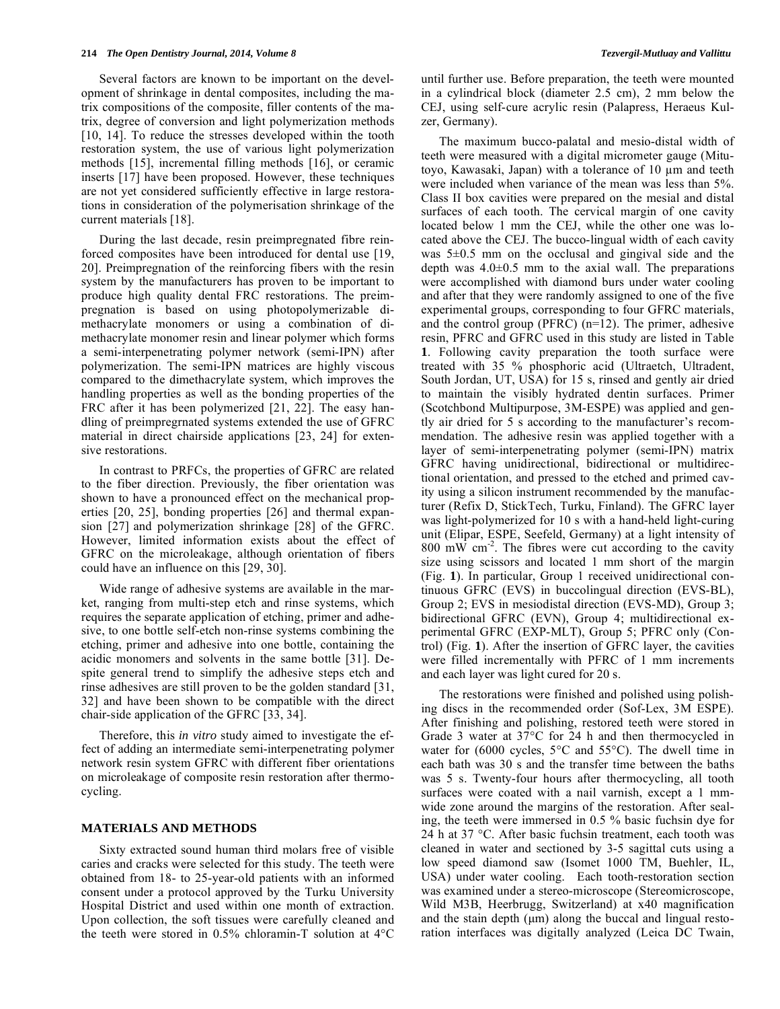Several factors are known to be important on the development of shrinkage in dental composites, including the matrix compositions of the composite, filler contents of the matrix, degree of conversion and light polymerization methods [10, 14]. To reduce the stresses developed within the tooth restoration system, the use of various light polymerization methods [15], incremental filling methods [16], or ceramic inserts [17] have been proposed. However, these techniques are not yet considered sufficiently effective in large restorations in consideration of the polymerisation shrinkage of the current materials [18].

During the last decade, resin preimpregnated fibre reinforced composites have been introduced for dental use [19, 20]. Preimpregnation of the reinforcing fibers with the resin system by the manufacturers has proven to be important to produce high quality dental FRC restorations. The preimpregnation is based on using photopolymerizable dimethacrylate monomers or using a combination of dimethacrylate monomer resin and linear polymer which forms a semi-interpenetrating polymer network (semi-IPN) after polymerization. The semi-IPN matrices are highly viscous compared to the dimethacrylate system, which improves the handling properties as well as the bonding properties of the FRC after it has been polymerized [21, 22]. The easy handling of preimpregrnated systems extended the use of GFRC material in direct chairside applications [23, 24] for extensive restorations.

In contrast to PRFCs, the properties of GFRC are related to the fiber direction. Previously, the fiber orientation was shown to have a pronounced effect on the mechanical properties [20, 25], bonding properties [26] and thermal expansion [27] and polymerization shrinkage [28] of the GFRC. However, limited information exists about the effect of GFRC on the microleakage, although orientation of fibers could have an influence on this [29, 30].

Wide range of adhesive systems are available in the market, ranging from multi-step etch and rinse systems, which requires the separate application of etching, primer and adhesive, to one bottle self-etch non-rinse systems combining the etching, primer and adhesive into one bottle, containing the acidic monomers and solvents in the same bottle [31]. Despite general trend to simplify the adhesive steps etch and rinse adhesives are still proven to be the golden standard [31, 32] and have been shown to be compatible with the direct chair-side application of the GFRC [33, 34].

Therefore, this *in vitro* study aimed to investigate the effect of adding an intermediate semi-interpenetrating polymer network resin system GFRC with different fiber orientations on microleakage of composite resin restoration after thermocycling.

# **MATERIALS AND METHODS**

Sixty extracted sound human third molars free of visible caries and cracks were selected for this study. The teeth were obtained from 18- to 25-year-old patients with an informed consent under a protocol approved by the Turku University Hospital District and used within one month of extraction. Upon collection, the soft tissues were carefully cleaned and the teeth were stored in 0.5% chloramin-T solution at 4°C until further use. Before preparation, the teeth were mounted in a cylindrical block (diameter 2.5 cm), 2 mm below the CEJ, using self-cure acrylic resin (Palapress, Heraeus Kulzer, Germany).

The maximum bucco-palatal and mesio-distal width of teeth were measured with a digital micrometer gauge (Mitutoyo, Kawasaki, Japan) with a tolerance of 10  $\mu$ m and teeth were included when variance of the mean was less than 5%. Class II box cavities were prepared on the mesial and distal surfaces of each tooth. The cervical margin of one cavity located below 1 mm the CEJ, while the other one was located above the CEJ. The bucco-lingual width of each cavity was 5±0.5 mm on the occlusal and gingival side and the depth was  $4.0\pm0.5$  mm to the axial wall. The preparations were accomplished with diamond burs under water cooling and after that they were randomly assigned to one of the five experimental groups, corresponding to four GFRC materials, and the control group (PFRC) (n=12). The primer, adhesive resin, PFRC and GFRC used in this study are listed in Table **1**. Following cavity preparation the tooth surface were treated with 35 % phosphoric acid (Ultraetch, Ultradent, South Jordan, UT, USA) for 15 s, rinsed and gently air dried to maintain the visibly hydrated dentin surfaces. Primer (Scotchbond Multipurpose, 3M-ESPE) was applied and gently air dried for 5 s according to the manufacturer's recommendation. The adhesive resin was applied together with a layer of semi-interpenetrating polymer (semi-IPN) matrix GFRC having unidirectional, bidirectional or multidirectional orientation, and pressed to the etched and primed cavity using a silicon instrument recommended by the manufacturer (Refix D, StickTech, Turku, Finland). The GFRC layer was light-polymerized for 10 s with a hand-held light-curing unit (Elipar, ESPE, Seefeld, Germany) at a light intensity of 800 mW  $\text{cm}^{-2}$ . The fibres were cut according to the cavity size using scissors and located 1 mm short of the margin (Fig. **1**). In particular, Group 1 received unidirectional continuous GFRC (EVS) in buccolingual direction (EVS-BL), Group 2; EVS in mesiodistal direction (EVS-MD), Group 3; bidirectional GFRC (EVN), Group 4; multidirectional experimental GFRC (EXP-MLT), Group 5; PFRC only (Control) (Fig. **1**). After the insertion of GFRC layer, the cavities were filled incrementally with PFRC of 1 mm increments and each layer was light cured for 20 s.

The restorations were finished and polished using polishing discs in the recommended order (Sof-Lex, 3M ESPE). After finishing and polishing, restored teeth were stored in Grade 3 water at 37°C for 24 h and then thermocycled in water for (6000 cycles, 5°C and 55°C). The dwell time in each bath was 30 s and the transfer time between the baths was 5 s. Twenty-four hours after thermocycling, all tooth surfaces were coated with a nail varnish, except a 1 mmwide zone around the margins of the restoration. After sealing, the teeth were immersed in 0.5 % basic fuchsin dye for 24 h at 37 °C. After basic fuchsin treatment, each tooth was cleaned in water and sectioned by 3-5 sagittal cuts using a low speed diamond saw (Isomet 1000 TM, Buehler, IL, USA) under water cooling. Each tooth-restoration section was examined under a stereo-microscope (Stereomicroscope, Wild M3B, Heerbrugg, Switzerland) at x40 magnification and the stain depth (μm) along the buccal and lingual restoration interfaces was digitally analyzed (Leica DC Twain,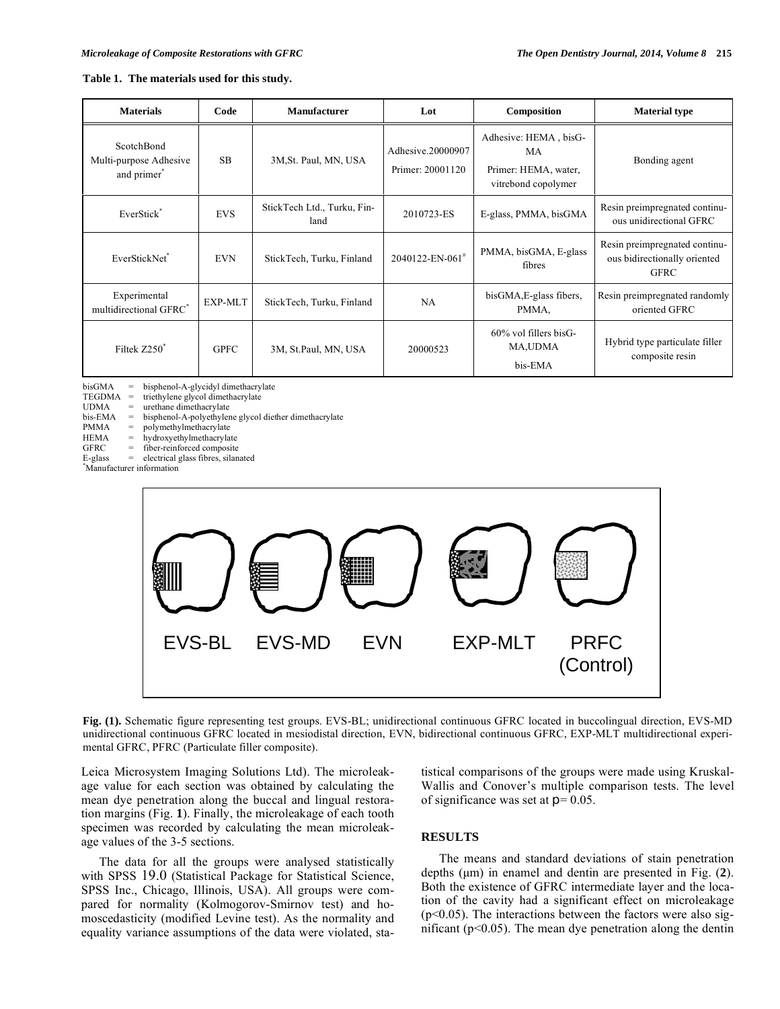# **Table 1. The materials used for this study.**

| <b>Materials</b>                                                | Code        | <b>Manufacturer</b>                 | Lot                                   | Composition                                                                | <b>Material type</b>                                                         |
|-----------------------------------------------------------------|-------------|-------------------------------------|---------------------------------------|----------------------------------------------------------------------------|------------------------------------------------------------------------------|
| ScotchBond<br>Multi-purpose Adhesive<br>and primer <sup>®</sup> | SB.         | 3M, St. Paul, MN, USA               | Adhesive.20000907<br>Primer: 20001120 | Adhesive: HEMA, bisG-<br>MA<br>Primer: HEMA, water,<br>vitrebond copolymer | Bonding agent                                                                |
| EverStick <sup>*</sup>                                          | <b>EVS</b>  | StickTech Ltd., Turku, Fin-<br>land | 2010723-ES                            | E-glass, PMMA, bisGMA                                                      | Resin preimpregnated continu-<br>ous unidirectional GFRC                     |
| EverStickNet*                                                   | <b>EVN</b>  | StickTech, Turku, Finland           | $2040122$ -EN-061 <sup>#</sup>        | PMMA, bisGMA, E-glass<br>fibres                                            | Resin preimpregnated continu-<br>ous bidirectionally oriented<br><b>GFRC</b> |
| Experimental<br>multidirectional GFRC*                          | EXP-MLT     | StickTech, Turku, Finland           | NA                                    | bisGMA, E-glass fibers,<br>PMMA.                                           | Resin preimpregnated randomly<br>oriented GFRC                               |
| Filtek Z250 <sup>*</sup>                                        | <b>GPFC</b> | 3M, St.Paul, MN, USA                | 20000523                              | $60\%$ vol fillers bisG-<br><b>MA,UDMA</b><br>bis-EMA                      | Hybrid type particulate filler<br>composite resin                            |

bisGMA = bisphenol-A-glycidyl dimethacrylate<br>TEGDMA = triethylene glycol dimethacrylate

 $TEGDMA = trichtylene glycol dimethacrylate$ <br> $UDMA = urethane dimethacrylate$ 

urethane dimethacrylate

bis-EMA = bisphenol-A-polyethylene glycol diether dimethacrylate<br>PMMA = polymethylmethacrylate

PMMA = polymethylmethacrylate<br>HEMA = hydroxyethylmethacrylat

HEMA = hydroxyethylmethacrylate<br>GFRC = fiber-reinforced composite fiber-reinforced composite

 $E-glass = electrical glass fibres, silanated$ 

\* Manufacturer information



**Fig. (1).** Schematic figure representing test groups. EVS-BL; unidirectional continuous GFRC located in buccolingual direction, EVS-MD unidirectional continuous GFRC located in mesiodistal direction, EVN, bidirectional continuous GFRC, EXP-MLT multidirectional experimental GFRC, PFRC (Particulate filler composite).

Leica Microsystem Imaging Solutions Ltd). The microleakage value for each section was obtained by calculating the mean dye penetration along the buccal and lingual restoration margins (Fig. **1**). Finally, the microleakage of each tooth specimen was recorded by calculating the mean microleakage values of the 3-5 sections.

The data for all the groups were analysed statistically with SPSS 19.0 (Statistical Package for Statistical Science, SPSS Inc., Chicago, Illinois, USA). All groups were compared for normality (Kolmogorov-Smirnov test) and homoscedasticity (modified Levine test). As the normality and equality variance assumptions of the data were violated, statistical comparisons of the groups were made using Kruskal-Wallis and Conover's multiple comparison tests. The level of significance was set at  $p = 0.05$ .

# **RESULTS**

The means and standard deviations of stain penetration depths (μm) in enamel and dentin are presented in Fig. (**2**). Both the existence of GFRC intermediate layer and the location of the cavity had a significant effect on microleakage  $(p<0.05)$ . The interactions between the factors were also significant ( $p<0.05$ ). The mean dye penetration along the dentin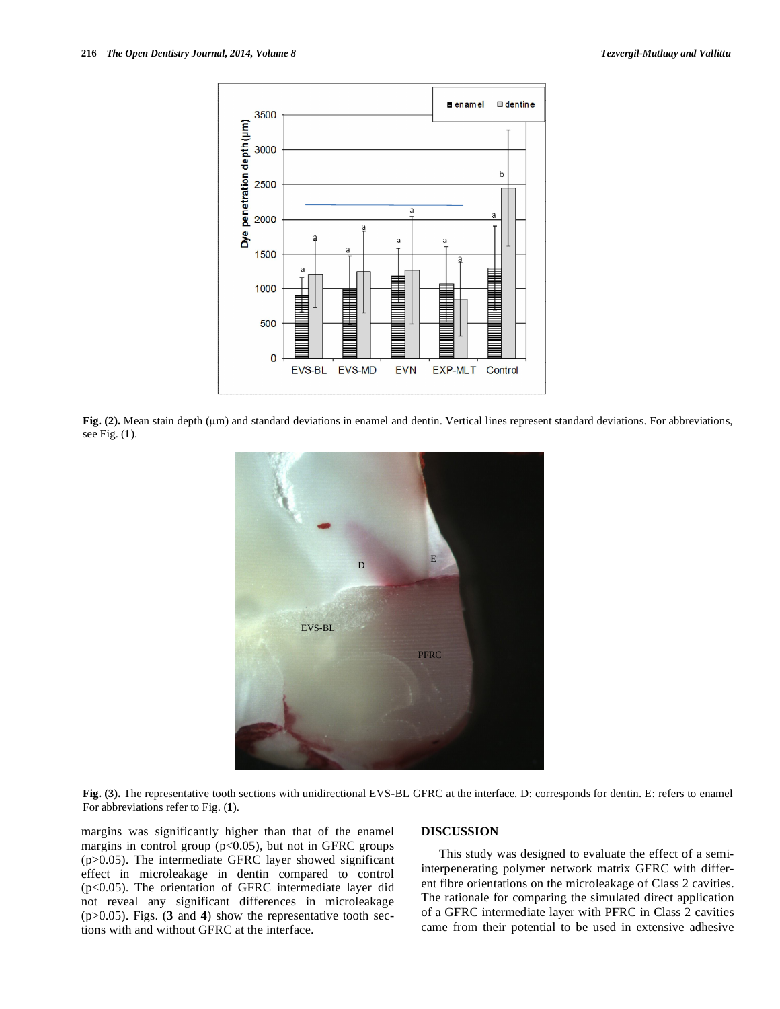

Fig. (2). Mean stain depth ( $\mu$ m) and standard deviations in enamel and dentin. Vertical lines represent standard deviations. For abbreviations, see Fig. (**1**).



**Fig. (3).** The representative tooth sections with unidirectional EVS-BL GFRC at the interface. D: corresponds for dentin. E: refers to enamel For abbreviations refer to Fig. (**1**).

margins was significantly higher than that of the enamel margins in control group  $(p<0.05)$ , but not in GFRC groups (p>0.05). The intermediate GFRC layer showed significant effect in microleakage in dentin compared to control (p<0.05). The orientation of GFRC intermediate layer did not reveal any significant differences in microleakage (p>0.05). Figs. (**3** and **4**) show the representative tooth sections with and without GFRC at the interface.

# **DISCUSSION**

This study was designed to evaluate the effect of a semiinterpenerating polymer network matrix GFRC with different fibre orientations on the microleakage of Class 2 cavities. The rationale for comparing the simulated direct application of a GFRC intermediate layer with PFRC in Class 2 cavities came from their potential to be used in extensive adhesive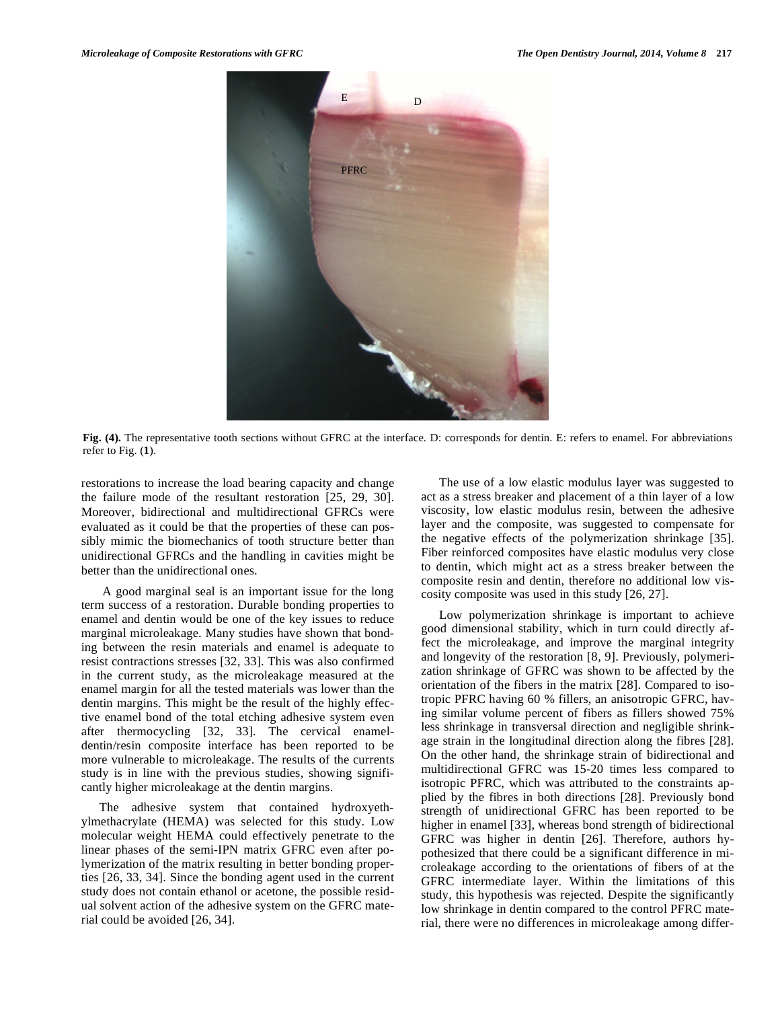

**Fig. (4).** The representative tooth sections without GFRC at the interface. D: corresponds for dentin. E: refers to enamel. For abbreviations refer to Fig. (**1**).

restorations to increase the load bearing capacity and change the failure mode of the resultant restoration [25, 29, 30]. Moreover, bidirectional and multidirectional GFRCs were evaluated as it could be that the properties of these can possibly mimic the biomechanics of tooth structure better than unidirectional GFRCs and the handling in cavities might be better than the unidirectional ones.

 A good marginal seal is an important issue for the long term success of a restoration. Durable bonding properties to enamel and dentin would be one of the key issues to reduce marginal microleakage. Many studies have shown that bonding between the resin materials and enamel is adequate to resist contractions stresses [32, 33]. This was also confirmed in the current study, as the microleakage measured at the enamel margin for all the tested materials was lower than the dentin margins. This might be the result of the highly effective enamel bond of the total etching adhesive system even after thermocycling [32, 33]. The cervical enameldentin/resin composite interface has been reported to be more vulnerable to microleakage. The results of the currents study is in line with the previous studies, showing significantly higher microleakage at the dentin margins.

The adhesive system that contained hydroxyethylmethacrylate (HEMA) was selected for this study. Low molecular weight HEMA could effectively penetrate to the linear phases of the semi-IPN matrix GFRC even after polymerization of the matrix resulting in better bonding properties [26, 33, 34]. Since the bonding agent used in the current study does not contain ethanol or acetone, the possible residual solvent action of the adhesive system on the GFRC material could be avoided [26, 34].

The use of a low elastic modulus layer was suggested to act as a stress breaker and placement of a thin layer of a low viscosity, low elastic modulus resin, between the adhesive layer and the composite, was suggested to compensate for the negative effects of the polymerization shrinkage [35]. Fiber reinforced composites have elastic modulus very close to dentin, which might act as a stress breaker between the composite resin and dentin, therefore no additional low viscosity composite was used in this study [26, 27].

Low polymerization shrinkage is important to achieve good dimensional stability, which in turn could directly affect the microleakage, and improve the marginal integrity and longevity of the restoration [8, 9]. Previously, polymerization shrinkage of GFRC was shown to be affected by the orientation of the fibers in the matrix [28]. Compared to isotropic PFRC having 60 % fillers, an anisotropic GFRC, having similar volume percent of fibers as fillers showed 75% less shrinkage in transversal direction and negligible shrinkage strain in the longitudinal direction along the fibres [28]. On the other hand, the shrinkage strain of bidirectional and multidirectional GFRC was 15-20 times less compared to isotropic PFRC, which was attributed to the constraints applied by the fibres in both directions [28]. Previously bond strength of unidirectional GFRC has been reported to be higher in enamel [33], whereas bond strength of bidirectional GFRC was higher in dentin [26]. Therefore, authors hypothesized that there could be a significant difference in microleakage according to the orientations of fibers of at the GFRC intermediate layer. Within the limitations of this study, this hypothesis was rejected. Despite the significantly low shrinkage in dentin compared to the control PFRC material, there were no differences in microleakage among differ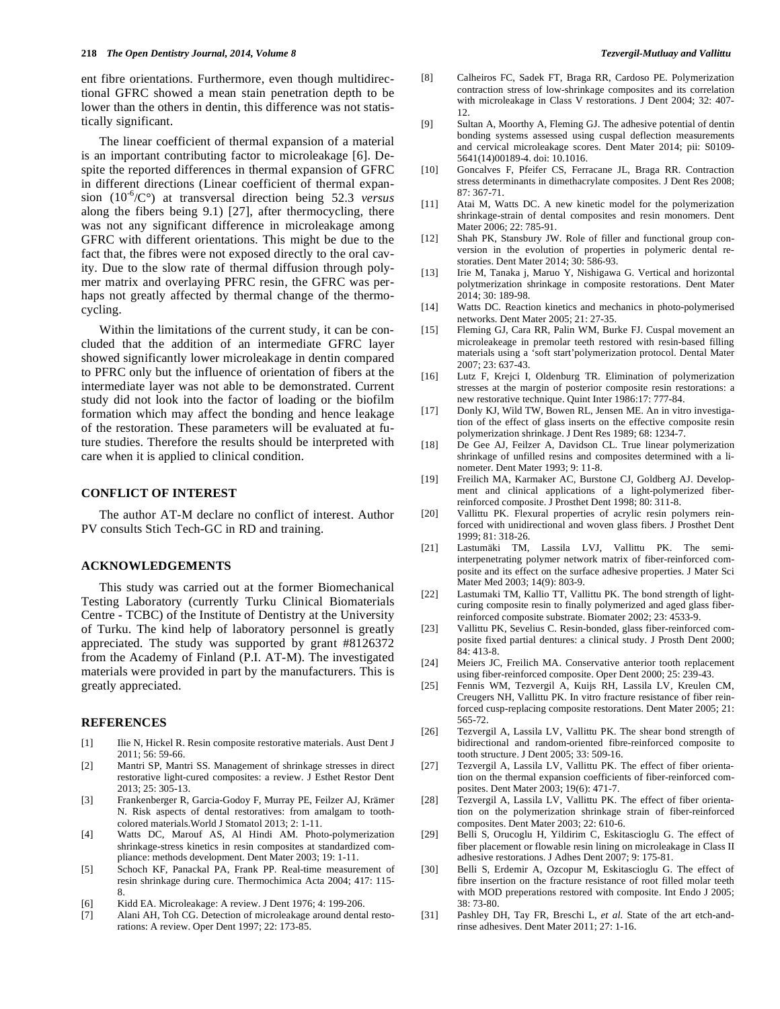ent fibre orientations. Furthermore, even though multidirectional GFRC showed a mean stain penetration depth to be lower than the others in dentin, this difference was not statistically significant.

The linear coefficient of thermal expansion of a material is an important contributing factor to microleakage [6]. Despite the reported differences in thermal expansion of GFRC in different directions (Linear coefficient of thermal expansion (10-6/C°) at transversal direction being 52.3 *versus* along the fibers being 9.1) [27], after thermocycling, there was not any significant difference in microleakage among GFRC with different orientations. This might be due to the fact that, the fibres were not exposed directly to the oral cavity. Due to the slow rate of thermal diffusion through polymer matrix and overlaying PFRC resin, the GFRC was perhaps not greatly affected by thermal change of the thermocycling.

Within the limitations of the current study, it can be concluded that the addition of an intermediate GFRC layer showed significantly lower microleakage in dentin compared to PFRC only but the influence of orientation of fibers at the intermediate layer was not able to be demonstrated. Current study did not look into the factor of loading or the biofilm formation which may affect the bonding and hence leakage of the restoration. These parameters will be evaluated at future studies. Therefore the results should be interpreted with care when it is applied to clinical condition.

### **CONFLICT OF INTEREST**

The author AT-M declare no conflict of interest. Author PV consults Stich Tech-GC in RD and training.

# **ACKNOWLEDGEMENTS**

This study was carried out at the former Biomechanical Testing Laboratory (currently Turku Clinical Biomaterials Centre - TCBC) of the Institute of Dentistry at the University of Turku. The kind help of laboratory personnel is greatly appreciated. The study was supported by grant #8126372 from the Academy of Finland (P.I. AT-M). The investigated materials were provided in part by the manufacturers. This is greatly appreciated.

# **REFERENCES**

- [1] Ilie N, Hickel R. Resin composite restorative materials. Aust Dent J  $2011:56:59.66$
- [2] Mantri SP, Mantri SS. Management of shrinkage stresses in direct restorative light-cured composites: a review. J Esthet Restor Dent 2013; 25: 305-13.
- [3] Frankenberger R, Garcia-Godoy F, Murray PE, Feilzer AJ, Krämer N. Risk aspects of dental restoratives: from amalgam to toothcolored materials.World J Stomatol 2013; 2: 1-11.
- [4] Watts DC, Marouf AS, Al Hindi AM. Photo-polymerization shrinkage-stress kinetics in resin composites at standardized compliance: methods development. Dent Mater 2003; 19: 1-11.
- [5] Schoch KF, Panackal PA, Frank PP. Real-time measurement of resin shrinkage during cure. Thermochimica Acta 2004; 417: 115- 8.
- [6] Kidd EA. Microleakage: A review. J Dent 1976; 4: 199-206.
- [7] Alani AH, Toh CG. Detection of microleakage around dental restorations: A review. Oper Dent 1997; 22: 173-85.
- [8] Calheiros FC, Sadek FT, Braga RR, Cardoso PE. Polymerization contraction stress of low-shrinkage composites and its correlation with microleakage in Class V restorations. J Dent 2004; 32: 407- 12.
- [9] Sultan A, Moorthy A, Fleming GJ. The adhesive potential of dentin bonding systems assessed using cuspal deflection measurements and cervical microleakage scores. Dent Mater 2014; pii: S0109- 5641(14)00189-4. doi: 10.1016.
- [10] Goncalves F, Pfeifer CS, Ferracane JL, Braga RR. Contraction stress determinants in dimethacrylate composites. J Dent Res 2008; 87: 367-71.
- [11] Atai M, Watts DC. A new kinetic model for the polymerization shrinkage-strain of dental composites and resin monomers. Dent Mater 2006; 22: 785-91.
- [12] Shah PK, Stansbury JW. Role of filler and functional group conversion in the evolution of properties in polymeric dental restoraties. Dent Mater 2014; 30: 586-93.
- [13] Irie M, Tanaka j, Maruo Y, Nishigawa G. Vertical and horizontal polytmerization shrinkage in composite restorations. Dent Mater 2014; 30: 189-98.
- [14] Watts DC. Reaction kinetics and mechanics in photo-polymerised networks. Dent Mater 2005; 21: 27-35.
- [15] Fleming GJ, Cara RR, Palin WM, Burke FJ. Cuspal movement an microleakeage in premolar teeth restored with resin-based filling materials using a 'soft start'polymerization protocol. Dental Mater 2007; 23: 637-43.
- [16] Lutz F, Krejci I, Oldenburg TR. Elimination of polymerization stresses at the margin of posterior composite resin restorations: a new restorative technique. Quint Inter 1986:17: 777-84.
- [17] Donly KJ, Wild TW, Bowen RL, Jensen ME. An in vitro investigation of the effect of glass inserts on the effective composite resin polymerization shrinkage. J Dent Res 1989; 68: 1234-7.
- [18] De Gee AJ, Feilzer A, Davidson CL. True linear polymerization shrinkage of unfilled resins and composites determined with a linometer. Dent Mater 1993; 9: 11-8.
- [19] Freilich MA, Karmaker AC, Burstone CJ, Goldberg AJ. Development and clinical applications of a light-polymerized fiberreinforced composite. J Prosthet Dent 1998; 80: 311-8.
- [20] Vallittu PK. Flexural properties of acrylic resin polymers reinforced with unidirectional and woven glass fibers. J Prosthet Dent 1999; 81: 318-26.
- [21] Lastumäki TM, Lassila LVJ, Vallittu PK. The semiinterpenetrating polymer network matrix of fiber-reinforced composite and its effect on the surface adhesive properties. J Mater Sci Mater Med 2003; 14(9): 803-9.
- [22] Lastumaki TM, Kallio TT, Vallittu PK. The bond strength of lightcuring composite resin to finally polymerized and aged glass fiberreinforced composite substrate. Biomater 2002; 23: 4533-9.
- [23] Vallittu PK, Sevelius C. Resin-bonded, glass fiber-reinforced composite fixed partial dentures: a clinical study. J Prosth Dent 2000; 84: 413-8.
- [24] Meiers JC, Freilich MA. Conservative anterior tooth replacement using fiber-reinforced composite. Oper Dent 2000; 25: 239-43.
- [25] Fennis WM, Tezvergil A, Kuijs RH, Lassila LV, Kreulen CM, Creugers NH, Vallittu PK. In vitro fracture resistance of fiber reinforced cusp-replacing composite restorations. Dent Mater 2005; 21: 565-72.
- [26] Tezvergil A, Lassila LV, Vallittu PK. The shear bond strength of bidirectional and random-oriented fibre-reinforced composite to tooth structure. J Dent 2005; 33: 509-16.
- [27] Tezvergil A, Lassila LV, Vallittu PK. The effect of fiber orientation on the thermal expansion coefficients of fiber-reinforced composites. Dent Mater 2003; 19(6): 471-7.
- [28] Tezvergil A, Lassila LV, Vallittu PK. The effect of fiber orientation on the polymerization shrinkage strain of fiber-reinforced composites. Dent Mater 2003; 22: 610-6.
- [29] Belli S, Orucoglu H, Yildirim C, Eskitascioglu G. The effect of fiber placement or flowable resin lining on microleakage in Class II adhesive restorations. J Adhes Dent 2007; 9: 175-81.
- [30] Belli S, Erdemir A, Ozcopur M, Eskitascioglu G. The effect of fibre insertion on the fracture resistance of root filled molar teeth with MOD preperations restored with composite. Int Endo J 2005; 38: 73-80.
- [31] Pashley DH, Tay FR, Breschi L, *et al.* State of the art etch-andrinse adhesives. Dent Mater 2011; 27: 1-16.